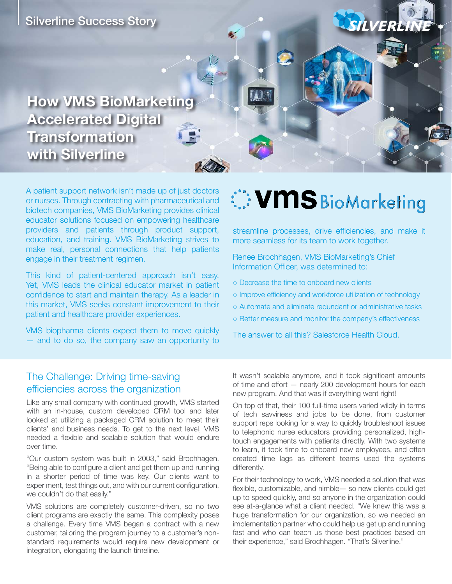

A patient support network isn't made up of just doctors or nurses. Through contracting with pharmaceutical and biotech companies, VMS BioMarketing provides clinical educator solutions focused on empowering healthcare providers and patients through product support, education, and training. VMS BioMarketing strives to make real, personal connections that help patients engage in their treatment regimen.

This kind of patient-centered approach isn't easy. Yet, VMS leads the clinical educator market in patient confidence to start and maintain therapy. As a leader in this market, VMS seeks constant improvement to their patient and healthcare provider experiences.

VMS biopharma clients expect them to move quickly — and to do so, the company saw an opportunity to

# **WMS** BioMarketing

streamline processes, drive efficiencies, and make it more seamless for its team to work together.

Renee Brochhagen, VMS BioMarketing's Chief Information Officer, was determined to:

- Decrease the time to onboard new clients
- Improve efficiency and workforce utilization of technology
- Automate and eliminate redundant or administrative tasks
- Better measure and monitor the company's effectiveness

The answer to all this? Salesforce Health Cloud.

## The Challenge: Driving time-saving efficiencies across the organization

Like any small company with continued growth, VMS started with an in-house, custom developed CRM tool and later looked at utilizing a packaged CRM solution to meet their clients' and business needs. To get to the next level, VMS needed a flexible and scalable solution that would endure over time.

"Our custom system was built in 2003," said Brochhagen. "Being able to configure a client and get them up and running in a shorter period of time was key. Our clients want to experiment, test things out, and with our current configuration, we couldn't do that easily."

VMS solutions are completely customer-driven, so no two client programs are exactly the same. This complexity poses a challenge. Every time VMS began a contract with a new customer, tailoring the program journey to a customer's nonstandard requirements would require new development or integration, elongating the launch timeline.

It wasn't scalable anymore, and it took significant amounts of time and effort — nearly 200 development hours for each new program. And that was if everything went right!

On top of that, their 100 full-time users varied wildly in terms of tech savviness and jobs to be done, from customer support reps looking for a way to quickly troubleshoot issues to telephonic nurse educators providing personalized, hightouch engagements with patients directly. With two systems to learn, it took time to onboard new employees, and often created time lags as different teams used the systems differently.

For their technology to work, VMS needed a solution that was flexible, customizable, and nimble— so new clients could get up to speed quickly, and so anyone in the organization could see at-a-glance what a client needed. "We knew this was a huge transformation for our organization, so we needed an implementation partner who could help us get up and running fast and who can teach us those best practices based on their experience," said Brochhagen. "That's Silverline."